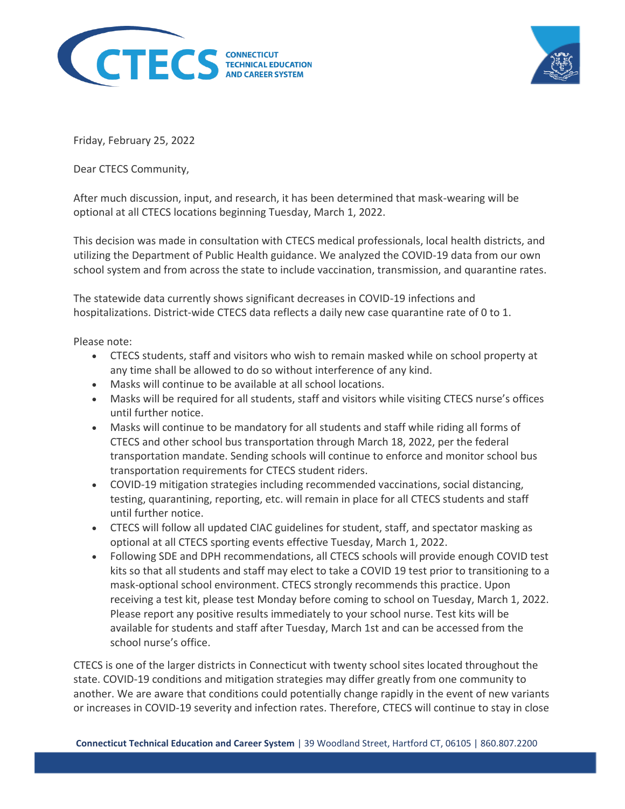



Friday, February 25, 2022

Dear CTECS Community,

After much discussion, input, and research, it has been determined that mask-wearing will be optional at all CTECS locations beginning Tuesday, March 1, 2022.

This decision was made in consultation with CTECS medical professionals, local health districts, and utilizing the Department of Public Health guidance. We analyzed the COVID-19 data from our own school system and from across the state to include vaccination, transmission, and quarantine rates.

The statewide data currently shows significant decreases in COVID-19 infections and hospitalizations. District-wide CTECS data reflects a daily new case quarantine rate of 0 to 1.

Please note:

- CTECS students, staff and visitors who wish to remain masked while on school property at any time shall be allowed to do so without interference of any kind.
- Masks will continue to be available at all school locations.
- Masks will be required for all students, staff and visitors while visiting CTECS nurse's offices until further notice.
- Masks will continue to be mandatory for all students and staff while riding all forms of CTECS and other school bus transportation through March 18, 2022, per the federal transportation mandate. Sending schools will continue to enforce and monitor school bus transportation requirements for CTECS student riders.
- COVID-19 mitigation strategies including recommended vaccinations, social distancing, testing, quarantining, reporting, etc. will remain in place for all CTECS students and staff until further notice.
- CTECS will follow all updated CIAC guidelines for student, staff, and spectator masking as optional at all CTECS sporting events effective Tuesday, March 1, 2022.
- Following SDE and DPH recommendations, all CTECS schools will provide enough COVID test kits so that all students and staff may elect to take a COVID 19 test prior to transitioning to a mask-optional school environment. CTECS strongly recommends this practice. Upon receiving a test kit, please test Monday before coming to school on Tuesday, March 1, 2022. Please report any positive results immediately to your school nurse. Test kits will be available for students and staff after Tuesday, March 1st and can be accessed from the school nurse's office.

CTECS is one of the larger districts in Connecticut with twenty school sites located throughout the state. COVID-19 conditions and mitigation strategies may differ greatly from one community to another. We are aware that conditions could potentially change rapidly in the event of new variants or increases in COVID-19 severity and infection rates. Therefore, CTECS will continue to stay in close